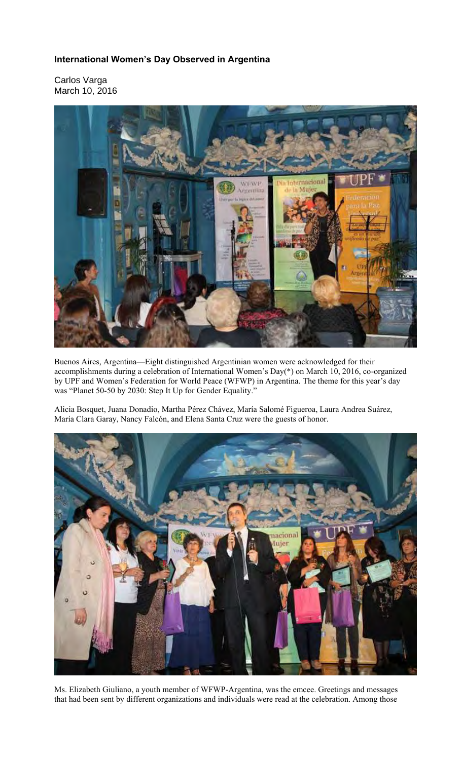## **International Women's Day Observed in Argentina**

Carlos Varga March 10, 2016



Buenos Aires, Argentina—Eight distinguished Argentinian women were acknowledged for their accomplishments during a celebration of International Women's Day(\*) on March 10, 2016, co-organized by UPF and Women's Federation for World Peace (WFWP) in Argentina. The theme for this year's day was "Planet 50-50 by 2030: Step It Up for Gender Equality."

Alicia Bosquet, Juana Donadio, Martha Pérez Chávez, María Salomé Figueroa, Laura Andrea Suárez, María Clara Garay, Nancy Falcón, and Elena Santa Cruz were the guests of honor.



Ms. Elizabeth Giuliano, a youth member of WFWP-Argentina, was the emcee. Greetings and messages that had been sent by different organizations and individuals were read at the celebration. Among those